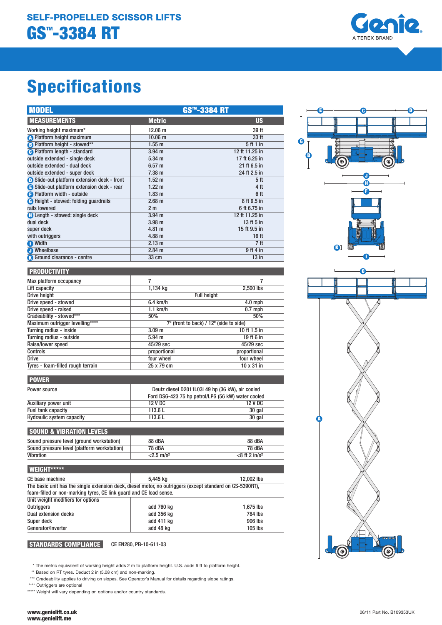

# Specifications

| <b>MODEL</b>                                 | <b>GS™-3384 RT</b> |                  |
|----------------------------------------------|--------------------|------------------|
| <b>MEASUREMENTS</b>                          | <b>Metric</b>      | <b>US</b>        |
| Working height maximum*                      | $12.06 \text{ m}$  | 39 ft            |
| <b>A</b> Platform height maximum             | $10.06$ m          | 33 ft            |
| B Platform height - stowed**                 | 1.55 m             | 5 ft 1 in        |
| <b>A</b> Platform length - standard          | $3.94$ m           | 12 ft 11.25 in   |
| outside extended - single deck               | $5.34 \text{ m}$   | 17 ft 6.25 in    |
| outside extended - dual deck                 | 6.57 m             | 21 ft 6.5 in     |
| outside extended - super deck                | $7.38 \text{ m}$   | 24 ft 2.5 in     |
| Slide-out platform extension deck - front    | $1.52 \text{ m}$   | 5 <sup>th</sup>  |
| Slide-out platform extension deck - rear     | $1.22 \text{ m}$   | 4 ft             |
| <b>B</b> Platform width - outside            | 1.83 <sub>m</sub>  | 6 ft             |
| <b>B</b> Height - stowed: folding quardrails | 2.68 m             | 8 ft 9.5 in      |
| rails lowered                                | 2 <sub>m</sub>     | 6 ft 6.75 in     |
| <b>Conduct</b> - stowed: single deck         | $3.94$ m           | 12 ft 11.25 in   |
| dual deck                                    | 3.98 <sub>m</sub>  | 13 ft 5 in       |
| super deck                                   | 4.81 m             | 15 ft 9.5 in     |
| with outriggers                              | $4.88 \text{ m}$   | 16 <sub>ft</sub> |
| <b>O</b> Width                               | 2.13 m             | 7 <sup>ft</sup>  |
| <b>O</b> Wheelbase                           | $2.84 \text{ m}$   | 9 ft 4 in        |
| Ground clearance - centre                    | 33 cm              | $13$ in          |

#### **PRODUCTIVITY**

POWER

| Max platform occupancy            |                                         |              |
|-----------------------------------|-----------------------------------------|--------------|
| Lift capacity                     | 1,134 kg                                | 2,500 lbs    |
| Drive height                      | <b>Full height</b>                      |              |
| Drive speed - stowed              | $6.4$ km/h                              | $4.0$ mph    |
| Drive speed - raised              | $1.1$ km/h                              | $0.7$ mph    |
| Gradeability - stowed***          | 50%                                     | 50%          |
| Maximum outrigger levelling****   | 7° (front to back) / 12° (side to side) |              |
| Turning radius - inside           | 3.09 <sub>m</sub>                       | 10 ft 1.5 in |
| Turning radius - outside          | 5.94 m                                  | 19 ft 6 in   |
| Raise/lower speed                 | 45/29 sec                               | 45/29 sec    |
| <b>Controls</b>                   | proportional                            | proportional |
| <b>Drive</b>                      | four wheel                              | four wheel   |
| Tyres - foam-filled rough terrain | 25 x 79 cm                              | 10 x 31 in   |

| <b>LEUTHU</b>                    |         |                                                                                                        |  |
|----------------------------------|---------|--------------------------------------------------------------------------------------------------------|--|
| Power source                     |         | Deutz diesel D2011L03i 49 hp (36 kW), air cooled<br>Ford DSG-423 75 hp petrol/LPG (56 kW) water cooled |  |
| Auxiliary power unit             | 12 V DC | 12 V DC                                                                                                |  |
| Fuel tank capacity               | 113.6L  | 30 gal                                                                                                 |  |
| <b>Hydraulic system capacity</b> | 113.6L  | 30 gal                                                                                                 |  |
|                                  |         |                                                                                                        |  |

| <b>SOUND &amp; VIBRATION LEVELS</b>         |                          |                             |  |  |
|---------------------------------------------|--------------------------|-----------------------------|--|--|
| Sound pressure level (ground workstation)   | 88 dBA                   | 88 dBA                      |  |  |
| Sound pressure level (platform workstation) | <b>78 dBA</b>            | 78 dBA                      |  |  |
| Vibration                                   | $< 2.5$ m/s <sup>2</sup> | $<8$ ft 2 in/s <sup>2</sup> |  |  |
|                                             |                          |                             |  |  |

| <b>WEIGHT*****</b>                                                                                        |            |            |  |  |
|-----------------------------------------------------------------------------------------------------------|------------|------------|--|--|
| CE base machine                                                                                           | 5.445 kg   | 12,002 lbs |  |  |
| The basic unit has the single extension deck, diesel motor, no outriggers (except standard on GS-5390RT), |            |            |  |  |
| foam-filled or non-marking tyres, CE link quard and CE load sense.                                        |            |            |  |  |
| Unit weight modifiers for options                                                                         |            |            |  |  |
| <b>Outriggers</b>                                                                                         | add 760 kg | 1.675 lbs  |  |  |
| <b>Dual extension decks</b>                                                                               | add 356 kg | 784 lbs    |  |  |
| Super deck                                                                                                | add 411 kg | 906 lbs    |  |  |
| Generator/Inverter                                                                                        | add 48 kg  | $105$ lbs  |  |  |

# STANDARDS COMPLIANCE CE EN280, PB-10-611-03

 \* The metric equivalent of working height adds 2 m to platform height. U.S. adds 6 ft to platform height. \*\* Based on RT tyres. Deduct 2 in (5.08 cm) and non-marking.

\*\*\* Gradeability applies to driving on slopes. See Operator's Manual for details regarding slope ratings.

\*\*\*\* Outriggers are optional

\*\*\*\*\* Weight will vary depending on options and/or country standards.